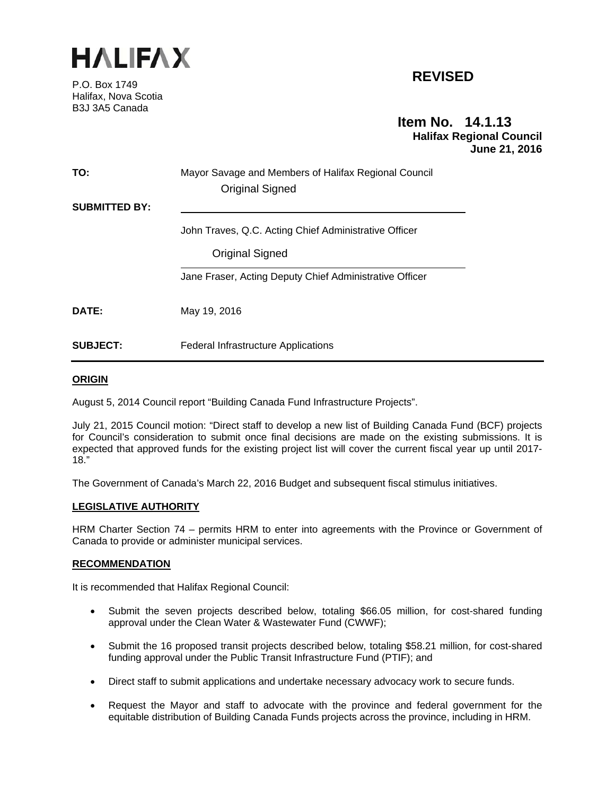

P.O. Box 1749 Halifax, Nova Scotia B3J 3A5 Canada

# **REVISED**

# **Item No. 14.1.13 Halifax Regional Council June 21, 2016**

| TO:                  | Mayor Savage and Members of Halifax Regional Council<br><b>Original Signed</b> |  |
|----------------------|--------------------------------------------------------------------------------|--|
| <b>SUBMITTED BY:</b> |                                                                                |  |
|                      | John Traves, Q.C. Acting Chief Administrative Officer                          |  |
|                      | Original Signed                                                                |  |
|                      | Jane Fraser, Acting Deputy Chief Administrative Officer                        |  |
| DATE:                | May 19, 2016                                                                   |  |
| <b>SUBJECT:</b>      | <b>Federal Infrastructure Applications</b>                                     |  |

# **ORIGIN**

August 5, 2014 Council report "Building Canada Fund Infrastructure Projects".

July 21, 2015 Council motion: "Direct staff to develop a new list of Building Canada Fund (BCF) projects for Council's consideration to submit once final decisions are made on the existing submissions. It is expected that approved funds for the existing project list will cover the current fiscal year up until 2017- 18."

The Government of Canada's March 22, 2016 Budget and subsequent fiscal stimulus initiatives.

#### **LEGISLATIVE AUTHORITY**

HRM Charter Section 74 – permits HRM to enter into agreements with the Province or Government of Canada to provide or administer municipal services.

#### **RECOMMENDATION**

It is recommended that Halifax Regional Council:

- Submit the seven projects described below, totaling \$66.05 million, for cost-shared funding approval under the Clean Water & Wastewater Fund (CWWF);
- Submit the 16 proposed transit projects described below, totaling \$58.21 million, for cost-shared funding approval under the Public Transit Infrastructure Fund (PTIF); and
- Direct staff to submit applications and undertake necessary advocacy work to secure funds.
- Request the Mayor and staff to advocate with the province and federal government for the equitable distribution of Building Canada Funds projects across the province, including in HRM.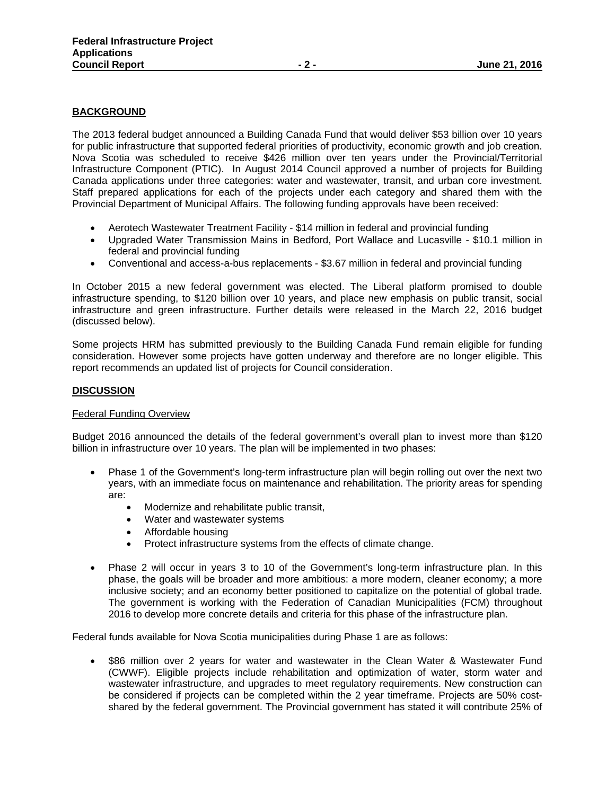# **BACKGROUND**

The 2013 federal budget announced a Building Canada Fund that would deliver \$53 billion over 10 years for public infrastructure that supported federal priorities of productivity, economic growth and job creation. Nova Scotia was scheduled to receive \$426 million over ten years under the Provincial/Territorial Infrastructure Component (PTIC). In August 2014 Council approved a number of projects for Building Canada applications under three categories: water and wastewater, transit, and urban core investment. Staff prepared applications for each of the projects under each category and shared them with the Provincial Department of Municipal Affairs. The following funding approvals have been received:

- Aerotech Wastewater Treatment Facility \$14 million in federal and provincial funding
- Upgraded Water Transmission Mains in Bedford, Port Wallace and Lucasville \$10.1 million in federal and provincial funding
- Conventional and access-a-bus replacements \$3.67 million in federal and provincial funding

In October 2015 a new federal government was elected. The Liberal platform promised to double infrastructure spending, to \$120 billion over 10 years, and place new emphasis on public transit, social infrastructure and green infrastructure. Further details were released in the March 22, 2016 budget (discussed below).

Some projects HRM has submitted previously to the Building Canada Fund remain eligible for funding consideration. However some projects have gotten underway and therefore are no longer eligible. This report recommends an updated list of projects for Council consideration.

#### **DISCUSSION**

#### Federal Funding Overview

Budget 2016 announced the details of the federal government's overall plan to invest more than \$120 billion in infrastructure over 10 years. The plan will be implemented in two phases:

- Phase 1 of the Government's long-term infrastructure plan will begin rolling out over the next two years, with an immediate focus on maintenance and rehabilitation. The priority areas for spending are:
	- Modernize and rehabilitate public transit,
	- Water and wastewater systems
	- Affordable housing
	- Protect infrastructure systems from the effects of climate change.
- Phase 2 will occur in years 3 to 10 of the Government's long-term infrastructure plan. In this phase, the goals will be broader and more ambitious: a more modern, cleaner economy; a more inclusive society; and an economy better positioned to capitalize on the potential of global trade. The government is working with the Federation of Canadian Municipalities (FCM) throughout 2016 to develop more concrete details and criteria for this phase of the infrastructure plan.

Federal funds available for Nova Scotia municipalities during Phase 1 are as follows:

 \$86 million over 2 years for water and wastewater in the Clean Water & Wastewater Fund (CWWF). Eligible projects include rehabilitation and optimization of water, storm water and wastewater infrastructure, and upgrades to meet regulatory requirements. New construction can be considered if projects can be completed within the 2 year timeframe. Projects are 50% costshared by the federal government. The Provincial government has stated it will contribute 25% of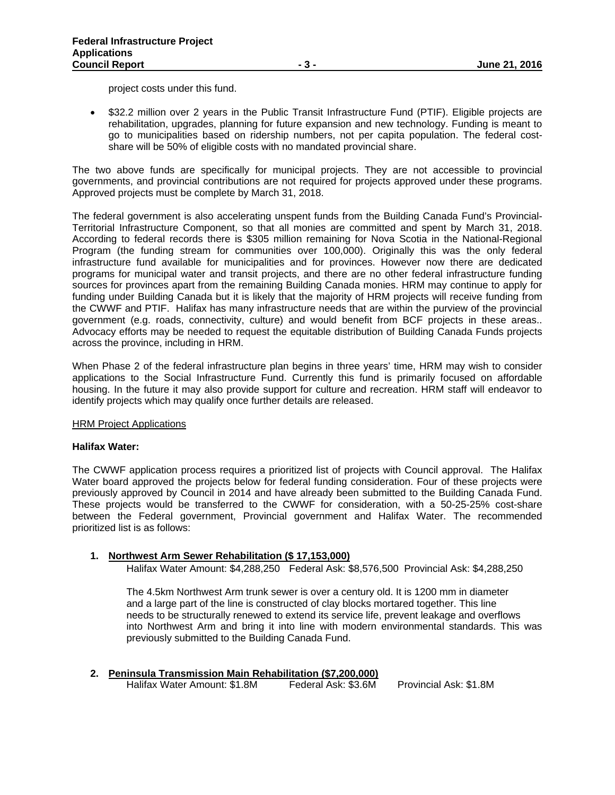project costs under this fund.

• \$32.2 million over 2 years in the Public Transit Infrastructure Fund (PTIF). Eligible projects are rehabilitation, upgrades, planning for future expansion and new technology. Funding is meant to go to municipalities based on ridership numbers, not per capita population. The federal costshare will be 50% of eligible costs with no mandated provincial share.

The two above funds are specifically for municipal projects. They are not accessible to provincial governments, and provincial contributions are not required for projects approved under these programs. Approved projects must be complete by March 31, 2018.

The federal government is also accelerating unspent funds from the Building Canada Fund's Provincial-Territorial Infrastructure Component, so that all monies are committed and spent by March 31, 2018. According to federal records there is \$305 million remaining for Nova Scotia in the National-Regional Program (the funding stream for communities over 100,000). Originally this was the only federal infrastructure fund available for municipalities and for provinces. However now there are dedicated programs for municipal water and transit projects, and there are no other federal infrastructure funding sources for provinces apart from the remaining Building Canada monies. HRM may continue to apply for funding under Building Canada but it is likely that the majority of HRM projects will receive funding from the CWWF and PTIF. Halifax has many infrastructure needs that are within the purview of the provincial government (e.g. roads, connectivity, culture) and would benefit from BCF projects in these areas.. Advocacy efforts may be needed to request the equitable distribution of Building Canada Funds projects across the province, including in HRM.

When Phase 2 of the federal infrastructure plan begins in three years' time, HRM may wish to consider applications to the Social Infrastructure Fund. Currently this fund is primarily focused on affordable housing. In the future it may also provide support for culture and recreation. HRM staff will endeavor to identify projects which may qualify once further details are released.

#### HRM Project Applications

# **Halifax Water:**

The CWWF application process requires a prioritized list of projects with Council approval. The Halifax Water board approved the projects below for federal funding consideration. Four of these projects were previously approved by Council in 2014 and have already been submitted to the Building Canada Fund. These projects would be transferred to the CWWF for consideration, with a 50-25-25% cost-share between the Federal government, Provincial government and Halifax Water. The recommended prioritized list is as follows:

#### **1. Northwest Arm Sewer Rehabilitation (\$ 17,153,000)**

Halifax Water Amount: \$4,288,250 Federal Ask: \$8,576,500 Provincial Ask: \$4,288,250

The 4.5km Northwest Arm trunk sewer is over a century old. It is 1200 mm in diameter and a large part of the line is constructed of clay blocks mortared together. This line needs to be structurally renewed to extend its service life, prevent leakage and overflows into Northwest Arm and bring it into line with modern environmental standards. This was previously submitted to the Building Canada Fund.

| 2. Peninsula Transmission Main Rehabilitation (\$7,200,000) |                     |                        |
|-------------------------------------------------------------|---------------------|------------------------|
| Halifax Water Amount: \$1.8M                                | Federal Ask: \$3.6M | Provincial Ask: \$1.8M |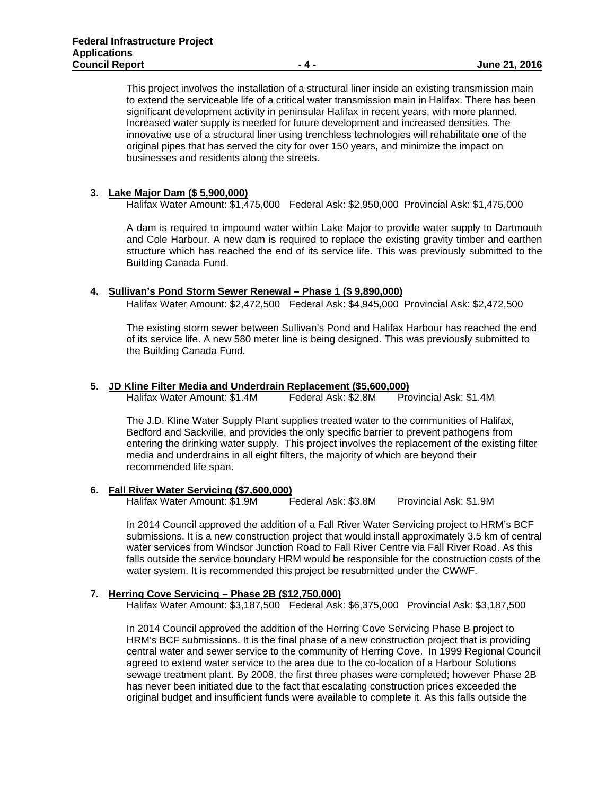This project involves the installation of a structural liner inside an existing transmission main to extend the serviceable life of a critical water transmission main in Halifax. There has been significant development activity in peninsular Halifax in recent years, with more planned. Increased water supply is needed for future development and increased densities. The innovative use of a structural liner using trenchless technologies will rehabilitate one of the original pipes that has served the city for over 150 years, and minimize the impact on businesses and residents along the streets.

# **3. Lake Major Dam (\$ 5,900,000)**

Halifax Water Amount: \$1,475,000 Federal Ask: \$2,950,000 Provincial Ask: \$1,475,000

A dam is required to impound water within Lake Major to provide water supply to Dartmouth and Cole Harbour. A new dam is required to replace the existing gravity timber and earthen structure which has reached the end of its service life. This was previously submitted to the Building Canada Fund.

#### **4. Sullivan's Pond Storm Sewer Renewal – Phase 1 (\$ 9,890,000)**

Halifax Water Amount: \$2,472,500 Federal Ask: \$4,945,000 Provincial Ask: \$2,472,500

The existing storm sewer between Sullivan's Pond and Halifax Harbour has reached the end of its service life. A new 580 meter line is being designed. This was previously submitted to the Building Canada Fund.

#### **5. JD Kline Filter Media and Underdrain Replacement (\$5,600,000)**

Halifax Water Amount: \$1.4M Federal Ask: \$2.8M Provincial Ask: \$1.4M

The J.D. Kline Water Supply Plant supplies treated water to the communities of Halifax, Bedford and Sackville, and provides the only specific barrier to prevent pathogens from entering the drinking water supply. This project involves the replacement of the existing filter media and underdrains in all eight filters, the majority of which are beyond their recommended life span.

#### **6. Fall River Water Servicing (\$7,600,000)**

Halifax Water Amount: \$1.9M Federal Ask: \$3.8M Provincial Ask: \$1.9M

In 2014 Council approved the addition of a Fall River Water Servicing project to HRM's BCF submissions. It is a new construction project that would install approximately 3.5 km of central water services from Windsor Junction Road to Fall River Centre via Fall River Road. As this falls outside the service boundary HRM would be responsible for the construction costs of the water system. It is recommended this project be resubmitted under the CWWF.

#### **7. Herring Cove Servicing – Phase 2B (\$12,750,000)**

Halifax Water Amount: \$3,187,500 Federal Ask: \$6,375,000 Provincial Ask: \$3,187,500

In 2014 Council approved the addition of the Herring Cove Servicing Phase B project to HRM's BCF submissions. It is the final phase of a new construction project that is providing central water and sewer service to the community of Herring Cove. In 1999 Regional Council agreed to extend water service to the area due to the co-location of a Harbour Solutions sewage treatment plant. By 2008, the first three phases were completed; however Phase 2B has never been initiated due to the fact that escalating construction prices exceeded the original budget and insufficient funds were available to complete it. As this falls outside the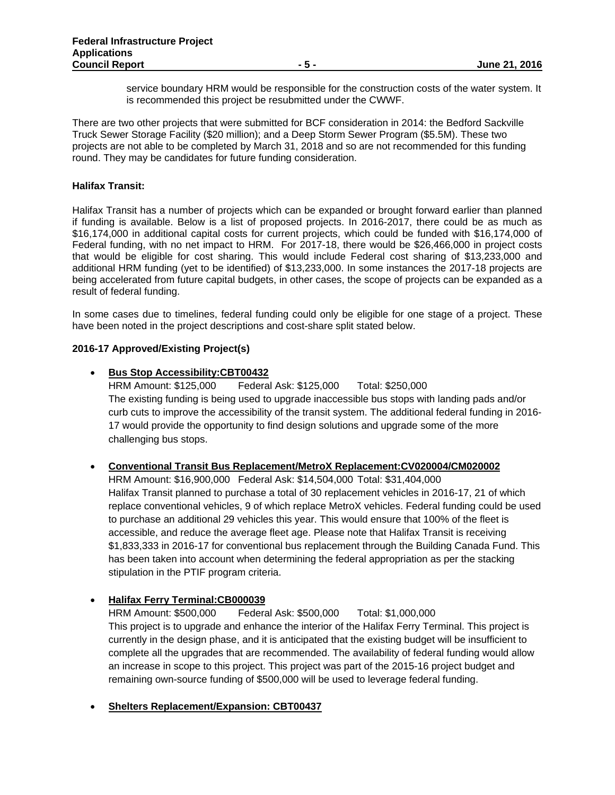service boundary HRM would be responsible for the construction costs of the water system. It is recommended this project be resubmitted under the CWWF.

There are two other projects that were submitted for BCF consideration in 2014: the Bedford Sackville Truck Sewer Storage Facility (\$20 million); and a Deep Storm Sewer Program (\$5.5M). These two projects are not able to be completed by March 31, 2018 and so are not recommended for this funding round. They may be candidates for future funding consideration.

#### **Halifax Transit:**

Halifax Transit has a number of projects which can be expanded or brought forward earlier than planned if funding is available. Below is a list of proposed projects. In 2016-2017, there could be as much as \$16,174,000 in additional capital costs for current projects, which could be funded with \$16,174,000 of Federal funding, with no net impact to HRM. For 2017-18, there would be \$26,466,000 in project costs that would be eligible for cost sharing. This would include Federal cost sharing of \$13,233,000 and additional HRM funding (yet to be identified) of \$13,233,000. In some instances the 2017-18 projects are being accelerated from future capital budgets, in other cases, the scope of projects can be expanded as a result of federal funding.

In some cases due to timelines, federal funding could only be eligible for one stage of a project. These have been noted in the project descriptions and cost-share split stated below.

# **2016-17 Approved/Existing Project(s)**

# **Bus Stop Accessibility:CBT00432**

HRM Amount: \$125,000 Federal Ask: \$125,000 Total: \$250,000 The existing funding is being used to upgrade inaccessible bus stops with landing pads and/or curb cuts to improve the accessibility of the transit system. The additional federal funding in 2016- 17 would provide the opportunity to find design solutions and upgrade some of the more challenging bus stops.

#### **Conventional Transit Bus Replacement/MetroX Replacement:CV020004/CM020002**

HRM Amount: \$16,900,000 Federal Ask: \$14,504,000 Total: \$31,404,000 Halifax Transit planned to purchase a total of 30 replacement vehicles in 2016-17, 21 of which replace conventional vehicles, 9 of which replace MetroX vehicles. Federal funding could be used to purchase an additional 29 vehicles this year. This would ensure that 100% of the fleet is accessible, and reduce the average fleet age. Please note that Halifax Transit is receiving \$1,833,333 in 2016-17 for conventional bus replacement through the Building Canada Fund. This has been taken into account when determining the federal appropriation as per the stacking stipulation in the PTIF program criteria.

# **Halifax Ferry Terminal:CB000039**

HRM Amount: \$500,000 Federal Ask: \$500,000 Total: \$1,000,000 This project is to upgrade and enhance the interior of the Halifax Ferry Terminal. This project is currently in the design phase, and it is anticipated that the existing budget will be insufficient to complete all the upgrades that are recommended. The availability of federal funding would allow an increase in scope to this project. This project was part of the 2015-16 project budget and remaining own-source funding of \$500,000 will be used to leverage federal funding.

# **Shelters Replacement/Expansion: CBT00437**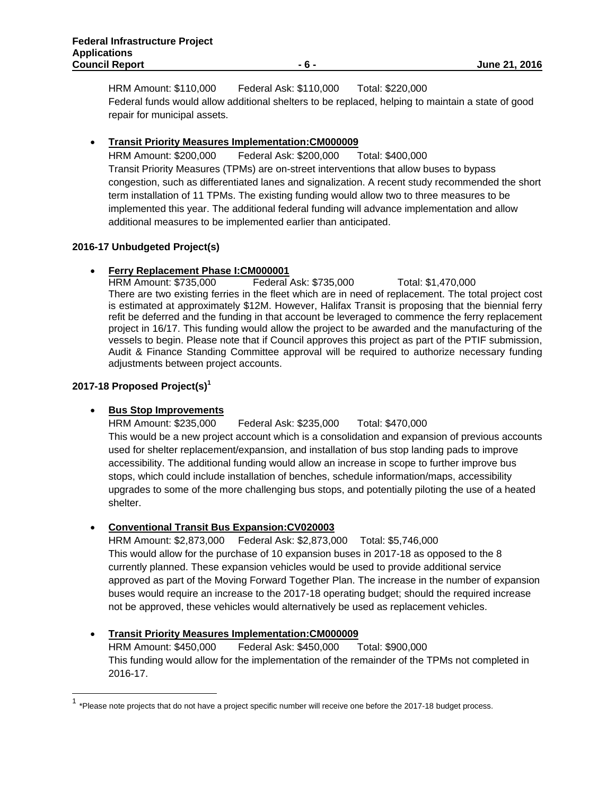HRM Amount: \$110,000 Federal Ask: \$110,000 Total: \$220,000 Federal funds would allow additional shelters to be replaced, helping to maintain a state of good repair for municipal assets.

# **Transit Priority Measures Implementation:CM000009**

HRM Amount: \$200,000 Federal Ask: \$200,000 Total: \$400,000 Transit Priority Measures (TPMs) are on-street interventions that allow buses to bypass congestion, such as differentiated lanes and signalization. A recent study recommended the short term installation of 11 TPMs. The existing funding would allow two to three measures to be implemented this year. The additional federal funding will advance implementation and allow additional measures to be implemented earlier than anticipated.

# **2016-17 Unbudgeted Project(s)**

**Ferry Replacement Phase I:CM000001**<br>
HRM Amount: \$735,000 Federal Ask: \$735,000 HRM Amount: \$735,000 Federal Ask: \$735,000 Total: \$1,470,000 There are two existing ferries in the fleet which are in need of replacement. The total project cost is estimated at approximately \$12M. However, Halifax Transit is proposing that the biennial ferry refit be deferred and the funding in that account be leveraged to commence the ferry replacement project in 16/17. This funding would allow the project to be awarded and the manufacturing of the vessels to begin. Please note that if Council approves this project as part of the PTIF submission, Audit & Finance Standing Committee approval will be required to authorize necessary funding adjustments between project accounts.

# **2017-18 Proposed Project(s)1**

# **Bus Stop Improvements**

HRM Amount: \$235,000 Federal Ask: \$235,000 Total: \$470,000 This would be a new project account which is a consolidation and expansion of previous accounts used for shelter replacement/expansion, and installation of bus stop landing pads to improve accessibility. The additional funding would allow an increase in scope to further improve bus stops, which could include installation of benches, schedule information/maps, accessibility upgrades to some of the more challenging bus stops, and potentially piloting the use of a heated shelter.

# **Conventional Transit Bus Expansion:CV020003**

HRM Amount: \$2,873,000 Federal Ask: \$2,873,000 Total: \$5,746,000 This would allow for the purchase of 10 expansion buses in 2017-18 as opposed to the 8 currently planned. These expansion vehicles would be used to provide additional service approved as part of the Moving Forward Together Plan. The increase in the number of expansion buses would require an increase to the 2017-18 operating budget; should the required increase not be approved, these vehicles would alternatively be used as replacement vehicles.

# **Transit Priority Measures Implementation:CM000009**

HRM Amount: \$450,000 Federal Ask: \$450,000 Total: \$900,000 This funding would allow for the implementation of the remainder of the TPMs not completed in 2016-17.

 $1$  \*Please note proiects that do not have a project specific number will receive one before the 2017-18 budget process.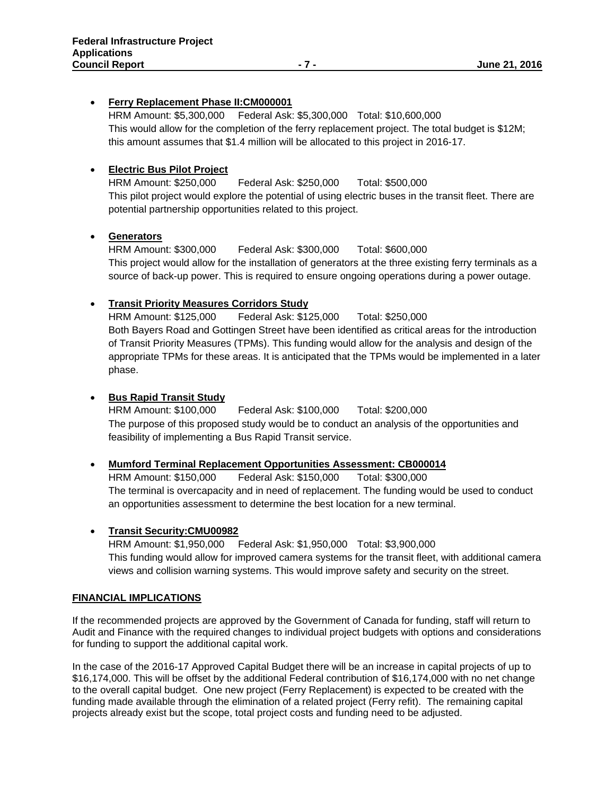# **Ferry Replacement Phase II:CM000001**

HRM Amount: \$5,300,000 Federal Ask: \$5,300,000 Total: \$10,600,000 This would allow for the completion of the ferry replacement project. The total budget is \$12M; this amount assumes that \$1.4 million will be allocated to this project in 2016-17.

# **Electric Bus Pilot Project**

HRM Amount: \$250,000 Federal Ask: \$250,000 Total: \$500,000 This pilot project would explore the potential of using electric buses in the transit fleet. There are potential partnership opportunities related to this project.

# **Generators**

HRM Amount: \$300,000 Federal Ask: \$300,000 Total: \$600,000 This project would allow for the installation of generators at the three existing ferry terminals as a source of back-up power. This is required to ensure ongoing operations during a power outage.

# **Transit Priority Measures Corridors Study**

HRM Amount: \$125,000 Federal Ask: \$125,000 Total: \$250,000 Both Bayers Road and Gottingen Street have been identified as critical areas for the introduction of Transit Priority Measures (TPMs). This funding would allow for the analysis and design of the appropriate TPMs for these areas. It is anticipated that the TPMs would be implemented in a later phase.

# **• Bus Rapid Transit Study**

HRM Amount: \$100,000 Federal Ask: \$100,000 Total: \$200,000 The purpose of this proposed study would be to conduct an analysis of the opportunities and feasibility of implementing a Bus Rapid Transit service.

# **Mumford Terminal Replacement Opportunities Assessment: CB000014**

HRM Amount: \$150,000 Federal Ask: \$150,000 Total: \$300,000 The terminal is overcapacity and in need of replacement. The funding would be used to conduct an opportunities assessment to determine the best location for a new terminal.

# **Transit Security:CMU00982**

HRM Amount: \$1,950,000 Federal Ask: \$1,950,000 Total: \$3,900,000 This funding would allow for improved camera systems for the transit fleet, with additional camera views and collision warning systems. This would improve safety and security on the street.

#### **FINANCIAL IMPLICATIONS**

If the recommended projects are approved by the Government of Canada for funding, staff will return to Audit and Finance with the required changes to individual project budgets with options and considerations for funding to support the additional capital work.

In the case of the 2016-17 Approved Capital Budget there will be an increase in capital projects of up to \$16,174,000. This will be offset by the additional Federal contribution of \$16,174,000 with no net change to the overall capital budget. One new project (Ferry Replacement) is expected to be created with the funding made available through the elimination of a related project (Ferry refit). The remaining capital projects already exist but the scope, total project costs and funding need to be adjusted.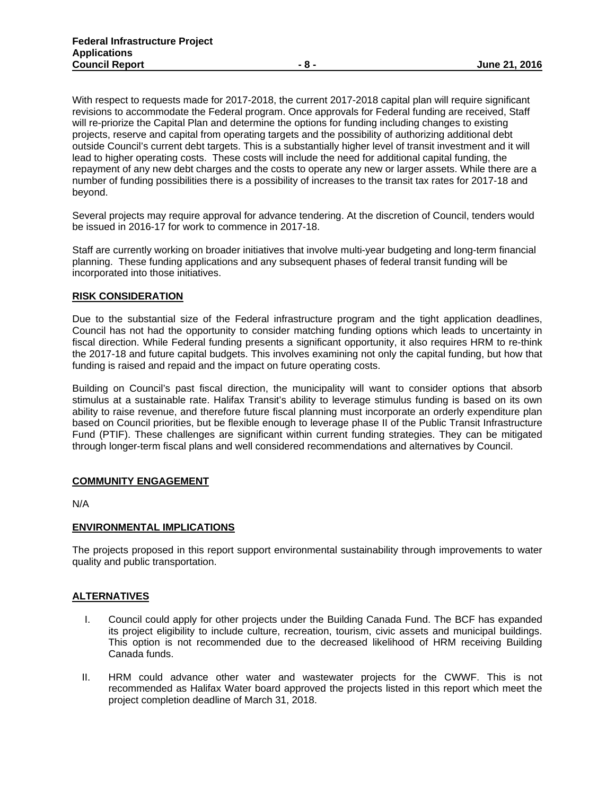With respect to requests made for 2017-2018, the current 2017-2018 capital plan will require significant revisions to accommodate the Federal program. Once approvals for Federal funding are received, Staff will re-priorize the Capital Plan and determine the options for funding including changes to existing projects, reserve and capital from operating targets and the possibility of authorizing additional debt outside Council's current debt targets. This is a substantially higher level of transit investment and it will lead to higher operating costs. These costs will include the need for additional capital funding, the repayment of any new debt charges and the costs to operate any new or larger assets. While there are a number of funding possibilities there is a possibility of increases to the transit tax rates for 2017-18 and beyond.

Several projects may require approval for advance tendering. At the discretion of Council, tenders would be issued in 2016-17 for work to commence in 2017-18.

Staff are currently working on broader initiatives that involve multi-year budgeting and long-term financial planning. These funding applications and any subsequent phases of federal transit funding will be incorporated into those initiatives.

#### **RISK CONSIDERATION**

Due to the substantial size of the Federal infrastructure program and the tight application deadlines, Council has not had the opportunity to consider matching funding options which leads to uncertainty in fiscal direction. While Federal funding presents a significant opportunity, it also requires HRM to re-think the 2017-18 and future capital budgets. This involves examining not only the capital funding, but how that funding is raised and repaid and the impact on future operating costs.

Building on Council's past fiscal direction, the municipality will want to consider options that absorb stimulus at a sustainable rate. Halifax Transit's ability to leverage stimulus funding is based on its own ability to raise revenue, and therefore future fiscal planning must incorporate an orderly expenditure plan based on Council priorities, but be flexible enough to leverage phase II of the Public Transit Infrastructure Fund (PTIF). These challenges are significant within current funding strategies. They can be mitigated through longer-term fiscal plans and well considered recommendations and alternatives by Council.

#### **COMMUNITY ENGAGEMENT**

N/A

#### **ENVIRONMENTAL IMPLICATIONS**

The projects proposed in this report support environmental sustainability through improvements to water quality and public transportation.

#### **ALTERNATIVES**

- I. Council could apply for other projects under the Building Canada Fund. The BCF has expanded its project eligibility to include culture, recreation, tourism, civic assets and municipal buildings. This option is not recommended due to the decreased likelihood of HRM receiving Building Canada funds.
- II. HRM could advance other water and wastewater projects for the CWWF. This is not recommended as Halifax Water board approved the projects listed in this report which meet the project completion deadline of March 31, 2018.